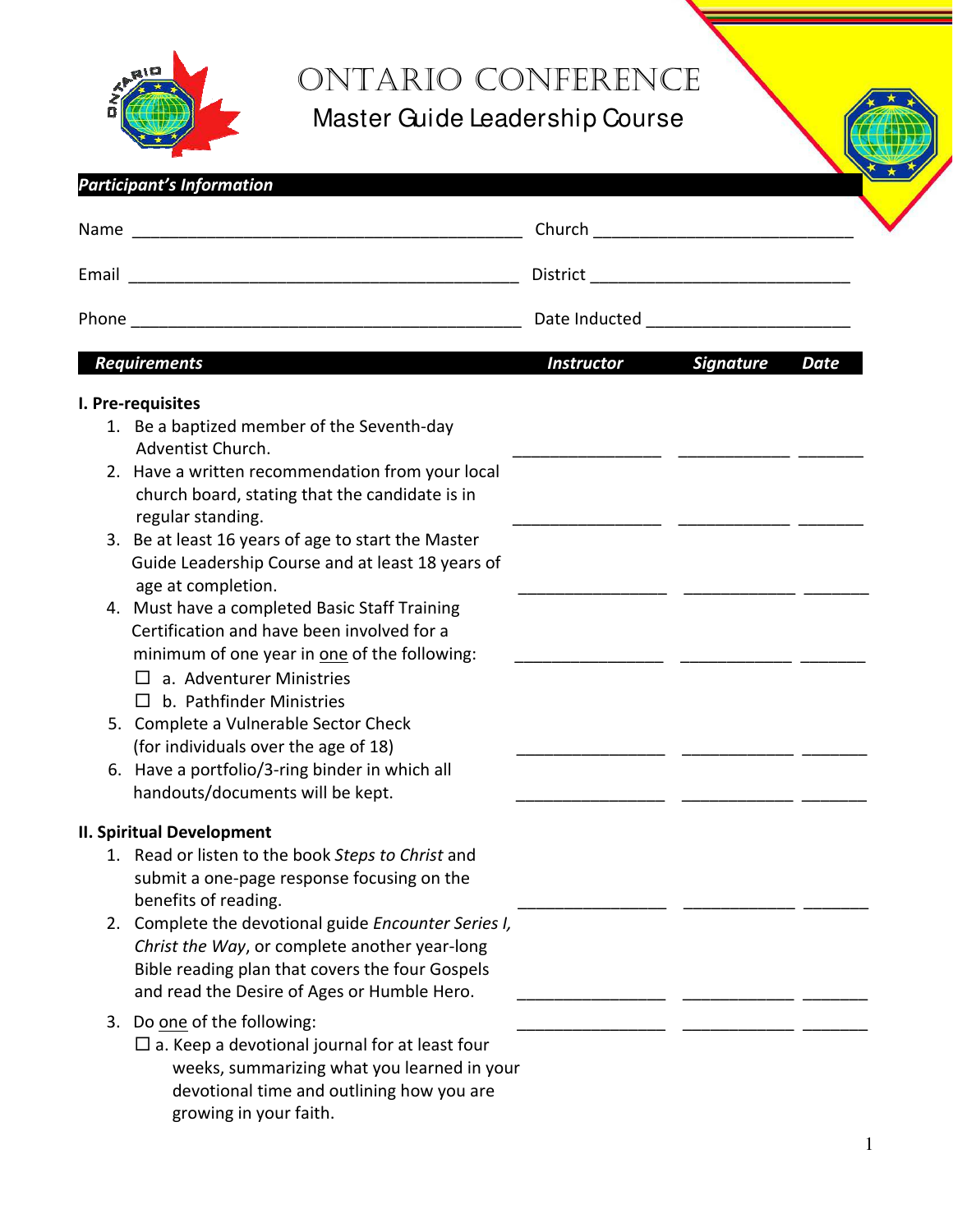

## ONTARIO CONFERENCE

Master Guide Leadership Course

| Date Inducted ________________________<br><b>Signature</b><br><b>Requirements</b><br><b>Instructor</b><br>I. Pre-requisites<br>1. Be a baptized member of the Seventh-day<br>Adventist Church.<br>2. Have a written recommendation from your local<br>church board, stating that the candidate is in<br>regular standing.<br>3. Be at least 16 years of age to start the Master<br>Guide Leadership Course and at least 18 years of<br>age at completion.<br>4. Must have a completed Basic Staff Training<br>Certification and have been involved for a<br>minimum of one year in one of the following:<br>$\Box$ a. Adventurer Ministries<br>$\Box$ b. Pathfinder Ministries<br>5. Complete a Vulnerable Sector Check<br>(for individuals over the age of 18)<br>6. Have a portfolio/3-ring binder in which all<br>handouts/documents will be kept.<br><b>II. Spiritual Development</b><br>1. Read or listen to the book Steps to Christ and<br>submit a one-page response focusing on the<br>benefits of reading.<br>2. Complete the devotional guide Encounter Series I,<br>Christ the Way, or complete another year-long<br>Bible reading plan that covers the four Gospels<br>and read the Desire of Ages or Humble Hero.<br>Do one of the following:<br>3.<br>$\Box$ a. Keep a devotional journal for at least four<br>weeks, summarizing what you learned in your<br>devotional time and outlining how you are<br>growing in your faith. | <b>Participant's Information</b> |  |             |
|--------------------------------------------------------------------------------------------------------------------------------------------------------------------------------------------------------------------------------------------------------------------------------------------------------------------------------------------------------------------------------------------------------------------------------------------------------------------------------------------------------------------------------------------------------------------------------------------------------------------------------------------------------------------------------------------------------------------------------------------------------------------------------------------------------------------------------------------------------------------------------------------------------------------------------------------------------------------------------------------------------------------------------------------------------------------------------------------------------------------------------------------------------------------------------------------------------------------------------------------------------------------------------------------------------------------------------------------------------------------------------------------------------------------------------------------------|----------------------------------|--|-------------|
|                                                                                                                                                                                                                                                                                                                                                                                                                                                                                                                                                                                                                                                                                                                                                                                                                                                                                                                                                                                                                                                                                                                                                                                                                                                                                                                                                                                                                                                  |                                  |  |             |
|                                                                                                                                                                                                                                                                                                                                                                                                                                                                                                                                                                                                                                                                                                                                                                                                                                                                                                                                                                                                                                                                                                                                                                                                                                                                                                                                                                                                                                                  |                                  |  |             |
|                                                                                                                                                                                                                                                                                                                                                                                                                                                                                                                                                                                                                                                                                                                                                                                                                                                                                                                                                                                                                                                                                                                                                                                                                                                                                                                                                                                                                                                  |                                  |  |             |
|                                                                                                                                                                                                                                                                                                                                                                                                                                                                                                                                                                                                                                                                                                                                                                                                                                                                                                                                                                                                                                                                                                                                                                                                                                                                                                                                                                                                                                                  |                                  |  | <b>Date</b> |
|                                                                                                                                                                                                                                                                                                                                                                                                                                                                                                                                                                                                                                                                                                                                                                                                                                                                                                                                                                                                                                                                                                                                                                                                                                                                                                                                                                                                                                                  |                                  |  |             |
|                                                                                                                                                                                                                                                                                                                                                                                                                                                                                                                                                                                                                                                                                                                                                                                                                                                                                                                                                                                                                                                                                                                                                                                                                                                                                                                                                                                                                                                  |                                  |  |             |
|                                                                                                                                                                                                                                                                                                                                                                                                                                                                                                                                                                                                                                                                                                                                                                                                                                                                                                                                                                                                                                                                                                                                                                                                                                                                                                                                                                                                                                                  |                                  |  |             |
|                                                                                                                                                                                                                                                                                                                                                                                                                                                                                                                                                                                                                                                                                                                                                                                                                                                                                                                                                                                                                                                                                                                                                                                                                                                                                                                                                                                                                                                  |                                  |  |             |
|                                                                                                                                                                                                                                                                                                                                                                                                                                                                                                                                                                                                                                                                                                                                                                                                                                                                                                                                                                                                                                                                                                                                                                                                                                                                                                                                                                                                                                                  |                                  |  |             |
|                                                                                                                                                                                                                                                                                                                                                                                                                                                                                                                                                                                                                                                                                                                                                                                                                                                                                                                                                                                                                                                                                                                                                                                                                                                                                                                                                                                                                                                  |                                  |  |             |
|                                                                                                                                                                                                                                                                                                                                                                                                                                                                                                                                                                                                                                                                                                                                                                                                                                                                                                                                                                                                                                                                                                                                                                                                                                                                                                                                                                                                                                                  |                                  |  |             |
|                                                                                                                                                                                                                                                                                                                                                                                                                                                                                                                                                                                                                                                                                                                                                                                                                                                                                                                                                                                                                                                                                                                                                                                                                                                                                                                                                                                                                                                  |                                  |  |             |
|                                                                                                                                                                                                                                                                                                                                                                                                                                                                                                                                                                                                                                                                                                                                                                                                                                                                                                                                                                                                                                                                                                                                                                                                                                                                                                                                                                                                                                                  |                                  |  |             |
|                                                                                                                                                                                                                                                                                                                                                                                                                                                                                                                                                                                                                                                                                                                                                                                                                                                                                                                                                                                                                                                                                                                                                                                                                                                                                                                                                                                                                                                  |                                  |  |             |
|                                                                                                                                                                                                                                                                                                                                                                                                                                                                                                                                                                                                                                                                                                                                                                                                                                                                                                                                                                                                                                                                                                                                                                                                                                                                                                                                                                                                                                                  |                                  |  |             |
|                                                                                                                                                                                                                                                                                                                                                                                                                                                                                                                                                                                                                                                                                                                                                                                                                                                                                                                                                                                                                                                                                                                                                                                                                                                                                                                                                                                                                                                  |                                  |  |             |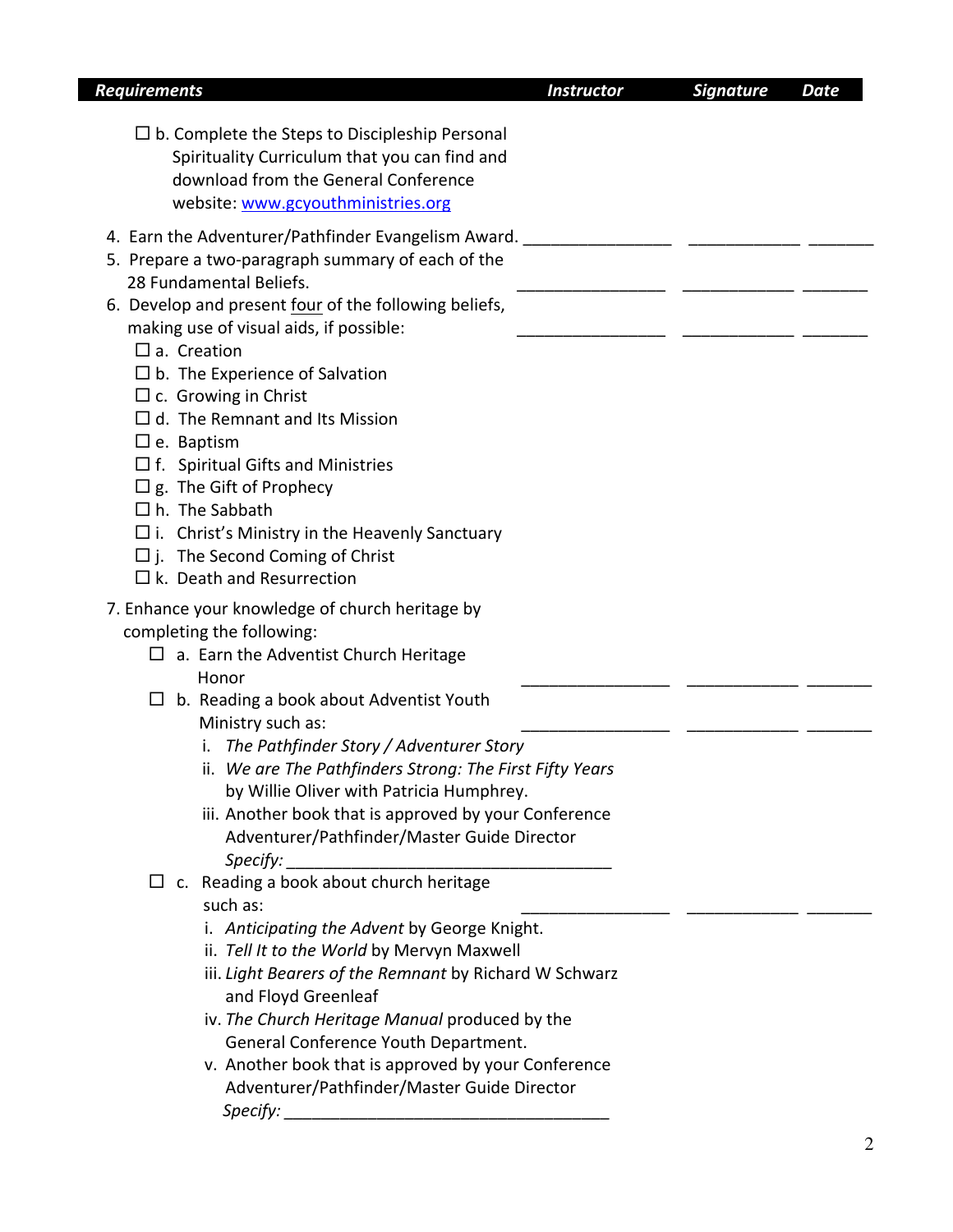| <b>Requirements</b>                                                                                                                                                                                                                                                                                                                                                                                                                                                                                                                                                                                                                                    | <b>Instructor</b> | <b>Signature</b> | <b>Date</b> |
|--------------------------------------------------------------------------------------------------------------------------------------------------------------------------------------------------------------------------------------------------------------------------------------------------------------------------------------------------------------------------------------------------------------------------------------------------------------------------------------------------------------------------------------------------------------------------------------------------------------------------------------------------------|-------------------|------------------|-------------|
| $\Box$ b. Complete the Steps to Discipleship Personal<br>Spirituality Curriculum that you can find and<br>download from the General Conference<br>website: www.gcyouthministries.org                                                                                                                                                                                                                                                                                                                                                                                                                                                                   |                   |                  |             |
| 4. Earn the Adventurer/Pathfinder Evangelism Award.<br>5. Prepare a two-paragraph summary of each of the<br>28 Fundamental Beliefs.<br>6. Develop and present four of the following beliefs,<br>making use of visual aids, if possible:<br>$\square$ a. Creation<br>$\Box$ b. The Experience of Salvation<br>$\Box$ c. Growing in Christ<br>$\Box$ d. The Remnant and Its Mission<br>$\square$ e. Baptism<br>$\Box$ f. Spiritual Gifts and Ministries<br>$\Box$ g. The Gift of Prophecy<br>$\Box$ h. The Sabbath<br>$\Box$ i. Christ's Ministry in the Heavenly Sanctuary<br>$\Box$ j. The Second Coming of Christ<br>$\Box$ k. Death and Resurrection |                   |                  |             |
| 7. Enhance your knowledge of church heritage by<br>completing the following:<br>$\Box$ a. Earn the Adventist Church Heritage<br>Honor<br>b. Reading a book about Adventist Youth<br>ப<br>Ministry such as:<br>i. The Pathfinder Story / Adventurer Story<br>ii. We are The Pathfinders Strong: The First Fifty Years<br>by Willie Oliver with Patricia Humphrey.<br>iii. Another book that is approved by your Conference<br>Adventurer/Pathfinder/Master Guide Director                                                                                                                                                                               |                   |                  |             |
| c. Reading a book about church heritage<br>ப<br>such as:<br>i. Anticipating the Advent by George Knight.<br>ii. Tell It to the World by Mervyn Maxwell<br>iii. Light Bearers of the Remnant by Richard W Schwarz<br>and Floyd Greenleaf<br>iv. The Church Heritage Manual produced by the<br>General Conference Youth Department.<br>v. Another book that is approved by your Conference<br>Adventurer/Pathfinder/Master Guide Director<br>Specify:                                                                                                                                                                                                    |                   |                  |             |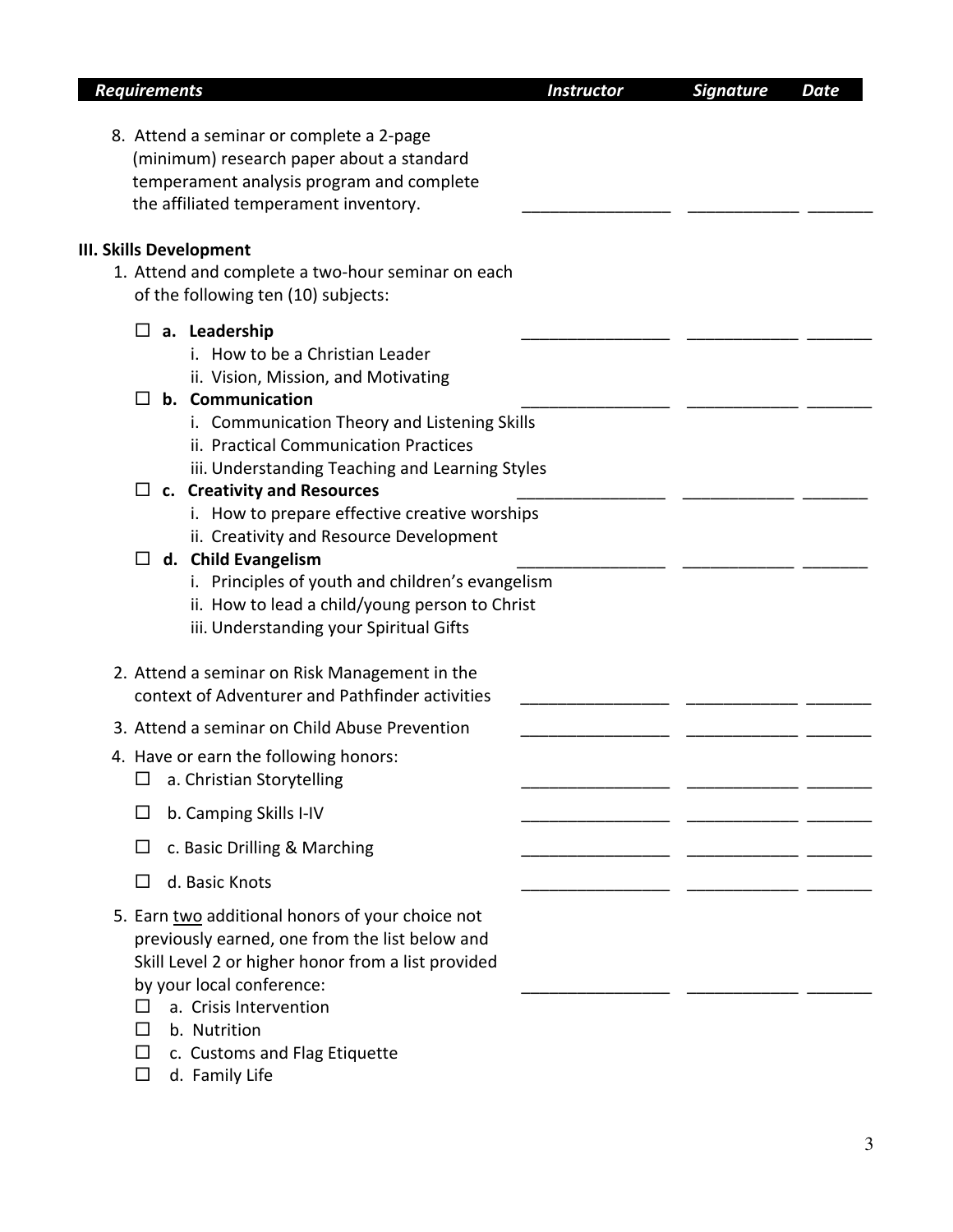| <b>Requirements</b>                                                                                                                                                                                                                                                   | <b>Instructor</b> | <b>Signature</b> | <b>Date</b> |
|-----------------------------------------------------------------------------------------------------------------------------------------------------------------------------------------------------------------------------------------------------------------------|-------------------|------------------|-------------|
| 8. Attend a seminar or complete a 2-page<br>(minimum) research paper about a standard<br>temperament analysis program and complete<br>the affiliated temperament inventory.                                                                                           |                   |                  |             |
| <b>III. Skills Development</b>                                                                                                                                                                                                                                        |                   |                  |             |
| 1. Attend and complete a two-hour seminar on each<br>of the following ten (10) subjects:                                                                                                                                                                              |                   |                  |             |
| a. Leadership<br>ப<br>i. How to be a Christian Leader<br>ii. Vision, Mission, and Motivating<br>b. Communication                                                                                                                                                      |                   |                  |             |
| $\mathsf{L}$<br>i. Communication Theory and Listening Skills<br>ii. Practical Communication Practices<br>iii. Understanding Teaching and Learning Styles                                                                                                              |                   |                  |             |
| $\Box$ c. Creativity and Resources<br>i. How to prepare effective creative worships<br>ii. Creativity and Resource Development<br>d. Child Evangelism<br>$\Box$                                                                                                       |                   |                  |             |
| i. Principles of youth and children's evangelism<br>ii. How to lead a child/young person to Christ<br>iii. Understanding your Spiritual Gifts                                                                                                                         |                   |                  |             |
| 2. Attend a seminar on Risk Management in the<br>context of Adventurer and Pathfinder activities                                                                                                                                                                      |                   |                  |             |
| 3. Attend a seminar on Child Abuse Prevention                                                                                                                                                                                                                         |                   |                  |             |
| 4. Have or earn the following honors:<br>a. Christian Storytelling                                                                                                                                                                                                    |                   |                  |             |
| b. Camping Skills I-IV<br>$\Box$                                                                                                                                                                                                                                      |                   |                  |             |
| c. Basic Drilling & Marching                                                                                                                                                                                                                                          |                   |                  |             |
| d. Basic Knots<br>$\mathsf{L}$                                                                                                                                                                                                                                        |                   |                  |             |
| 5. Earn two additional honors of your choice not<br>previously earned, one from the list below and<br>Skill Level 2 or higher honor from a list provided<br>by your local conference:<br>a. Crisis Intervention<br>b. Nutrition<br>c. Customs and Flag Etiquette<br>ப |                   |                  |             |

 $\Box$  d. Family Life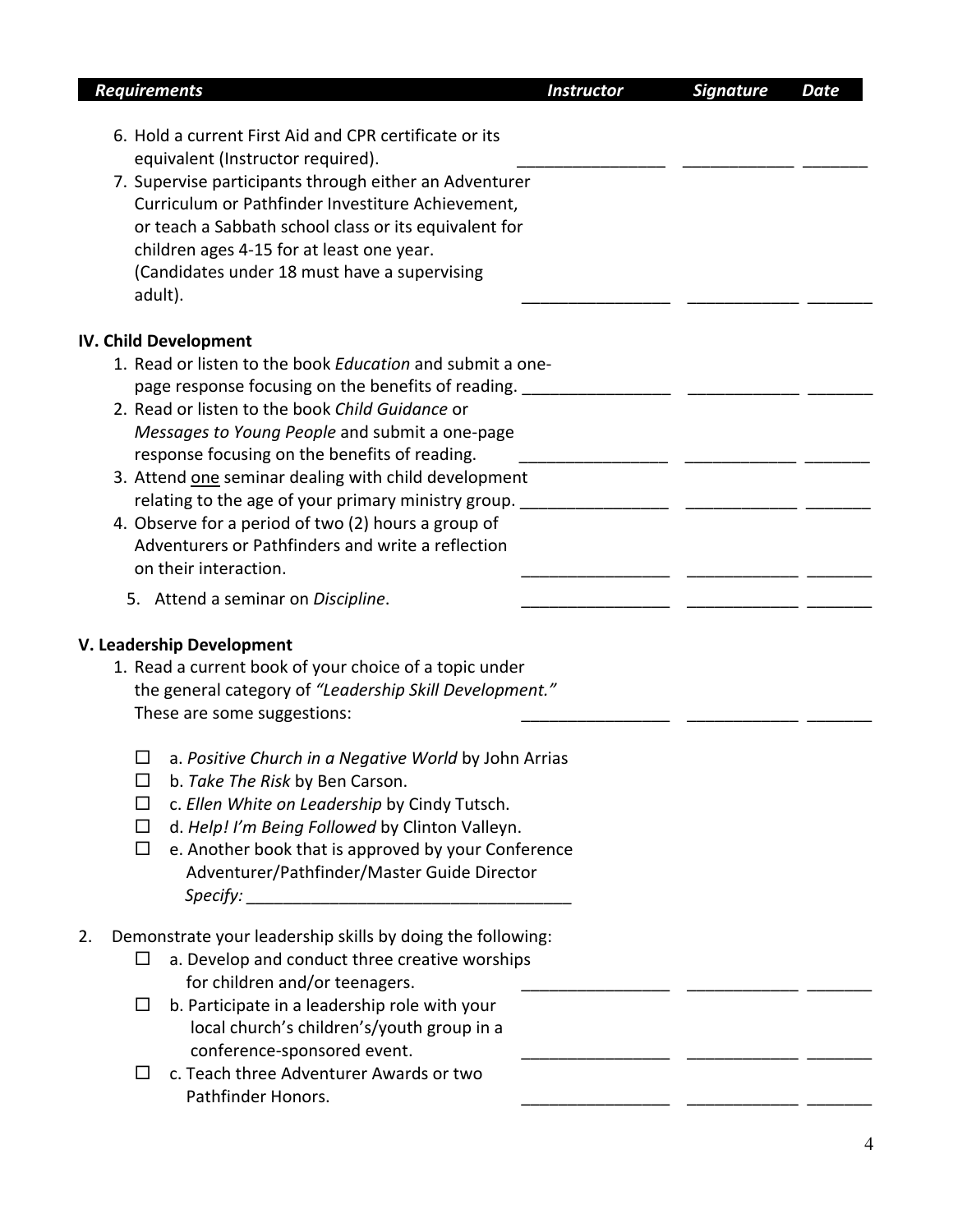| <b>Requirements</b>                                                                                                                                                                                                            | <b>Instructor</b> | <b>Signature</b> | <b>Date</b> |
|--------------------------------------------------------------------------------------------------------------------------------------------------------------------------------------------------------------------------------|-------------------|------------------|-------------|
| 6. Hold a current First Aid and CPR certificate or its                                                                                                                                                                         |                   |                  |             |
| equivalent (Instructor required).                                                                                                                                                                                              |                   |                  |             |
| 7. Supervise participants through either an Adventurer                                                                                                                                                                         |                   |                  |             |
| Curriculum or Pathfinder Investiture Achievement,                                                                                                                                                                              |                   |                  |             |
| or teach a Sabbath school class or its equivalent for                                                                                                                                                                          |                   |                  |             |
| children ages 4-15 for at least one year.                                                                                                                                                                                      |                   |                  |             |
| (Candidates under 18 must have a supervising<br>adult).                                                                                                                                                                        |                   |                  |             |
| <b>IV. Child Development</b>                                                                                                                                                                                                   |                   |                  |             |
| 1. Read or listen to the book Education and submit a one-<br>page response focusing on the benefits of reading. ______________________________                                                                                 |                   |                  |             |
| 2. Read or listen to the book Child Guidance or                                                                                                                                                                                |                   |                  |             |
| Messages to Young People and submit a one-page<br>response focusing on the benefits of reading.                                                                                                                                |                   |                  |             |
| 3. Attend one seminar dealing with child development                                                                                                                                                                           |                   |                  |             |
|                                                                                                                                                                                                                                |                   |                  |             |
| 4. Observe for a period of two (2) hours a group of                                                                                                                                                                            |                   |                  |             |
| Adventurers or Pathfinders and write a reflection                                                                                                                                                                              |                   |                  |             |
| on their interaction.                                                                                                                                                                                                          |                   |                  |             |
| 5. Attend a seminar on Discipline.                                                                                                                                                                                             |                   |                  |             |
|                                                                                                                                                                                                                                |                   |                  |             |
| V. Leadership Development                                                                                                                                                                                                      |                   |                  |             |
| 1. Read a current book of your choice of a topic under                                                                                                                                                                         |                   |                  |             |
| the general category of "Leadership Skill Development."                                                                                                                                                                        |                   |                  |             |
| These are some suggestions:                                                                                                                                                                                                    |                   |                  |             |
| a. Positive Church in a Negative World by John Arrias                                                                                                                                                                          |                   |                  |             |
| b. Take The Risk by Ben Carson.<br>$\Box$                                                                                                                                                                                      |                   |                  |             |
| c. Ellen White on Leadership by Cindy Tutsch.<br>⊔                                                                                                                                                                             |                   |                  |             |
| d. Help! I'm Being Followed by Clinton Valleyn.<br>$\Box$                                                                                                                                                                      |                   |                  |             |
|                                                                                                                                                                                                                                |                   |                  |             |
| e. Another book that is approved by your Conference<br>□<br>Adventurer/Pathfinder/Master Guide Director                                                                                                                        |                   |                  |             |
|                                                                                                                                                                                                                                |                   |                  |             |
| Specify: the contract of the contract of the contract of the contract of the contract of the contract of the contract of the contract of the contract of the contract of the contract of the contract of the contract of the c |                   |                  |             |
| Demonstrate your leadership skills by doing the following:<br>2.                                                                                                                                                               |                   |                  |             |
| a. Develop and conduct three creative worships                                                                                                                                                                                 |                   |                  |             |
| for children and/or teenagers.                                                                                                                                                                                                 |                   |                  |             |
| b. Participate in a leadership role with your<br>⊔                                                                                                                                                                             |                   |                  |             |
| local church's children's/youth group in a                                                                                                                                                                                     |                   |                  |             |
| conference-sponsored event.                                                                                                                                                                                                    |                   |                  |             |
| c. Teach three Adventurer Awards or two<br>ப                                                                                                                                                                                   |                   |                  |             |
| Pathfinder Honors.                                                                                                                                                                                                             |                   |                  |             |
|                                                                                                                                                                                                                                |                   |                  |             |